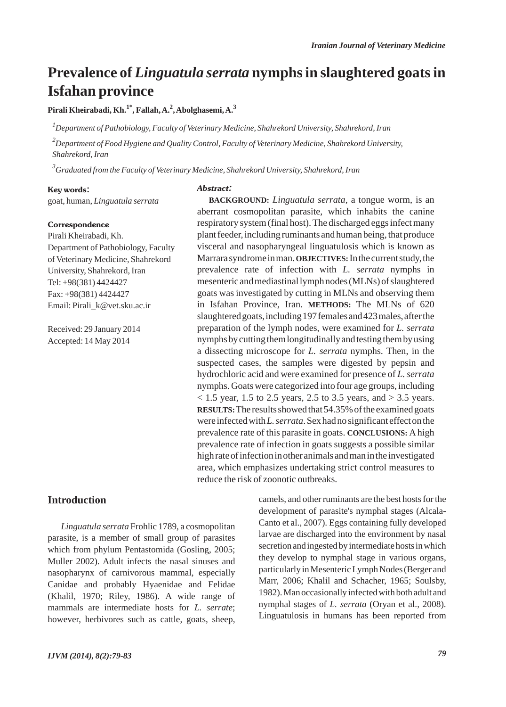## **Prevalence of** *Linguatula serrata* **nymphs in slaughtered goats in Isfahan province**

**Pirali Kheirabadi, Kh.1\*, Fallah, A.2 , Abolghasemi, A.<sup>3</sup>**

*1 Department of Pathobiology, Faculty of Veterinary Medicine, Shahrekord University, Shahrekord, Iran*

*2 Department of Food Hygiene and Quality Control, Faculty of Veterinary Medicine, Shahrekord University, Shahrekord, Iran*

*3 Graduated from the Faculty of Veterinary Medicine, Shahrekord University, Shahrekord, Iran*

## Key words:

goat, human, *Linguatula serrata*

#### **Correspondence**

Pirali Kheirabadi, Kh. Department of Pathobiology, Faculty of Veterinary Medicine, Shahrekord University, Shahrekord, Iran Tel: +98(381) 4424427 Fax: +98(381) 4424427 Email: Pirali\_k@vet.sku.ac.ir

Received: 29 January 2014 Accepted: 14 May 2014

## Abstract:

**BACKGROUND:** *Linguatula serrata*, a tongue worm, is an aberrant cosmopolitan parasite, which inhabits the canine respiratory system (final host). The discharged eggs infect many plant feeder, including ruminants and human being, that produce visceral and nasopharyngeal linguatulosis which is known as Marrara syndrome in man. **OBJECTIVES:**In the current study, the prevalence rate of infection with *L. serrata* nymphs in mesenteric and mediastinal lymph nodes (MLNs) of slaughtered goats was investigated by cutting in MLNs and observing them in Isfahan Province, Iran. **METHODS:** The MLNs of 620 slaughtered goats, including 197 females and 423 males, after the preparation of the lymph nodes, were examined for *L. serrata* nymphs by cutting them longitudinally and testing them by using a dissecting microscope for *L. serrata* nymphs. Then, in the suspected cases, the samples were digested by pepsin and hydrochloric acid and were examined for presence of *L. serrata* nymphs. Goats were categorized into four age groups, including  $<$  1.5 year, 1.5 to 2.5 years, 2.5 to 3.5 years, and  $>$  3.5 years. **RESULTS:**The results showed that 54.35% of the examined goats were infected with *L. serrata*. Sex had no significant effect on the prevalence rate of this parasite in goats. **CONCLUSIONS:** A high prevalence rate of infection in goats suggests a possible similar high rate of infection in other animals and man in the investigated area, which emphasizes undertaking strict control measures to reduce the risk of zoonotic outbreaks.

## **Introduction**

*Linguatula serrata* Frohlic 1789, a cosmopolitan parasite, is a member of small group of parasites which from phylum Pentastomida (Gosling, 2005; Muller 2002). Adult infects the nasal sinuses and nasopharynx of carnivorous mammal, especially Canidae and probably Hyaenidae and Felidae (Khalil, 1970; Riley, 1986). A wide range of mammals are intermediate hosts for *L. serrate*; however, herbivores such as cattle, goats, sheep, camels, and other ruminants are the best hosts for the development of parasite's nymphal stages (Alcala-Canto et al., 2007). Eggs containing fully developed larvae are discharged into the environment by nasal secretion and ingested by intermediate hosts in which they develop to nymphal stage in various organs, particularly in Mesenteric Lymph Nodes (Berger and Marr, 2006; Khalil and Schacher, 1965; Soulsby, 1982). Man occasionally infected with both adult and nymphal stages of *L. serrata* (Oryan et al., 2008). Linguatulosis in humans has been reported from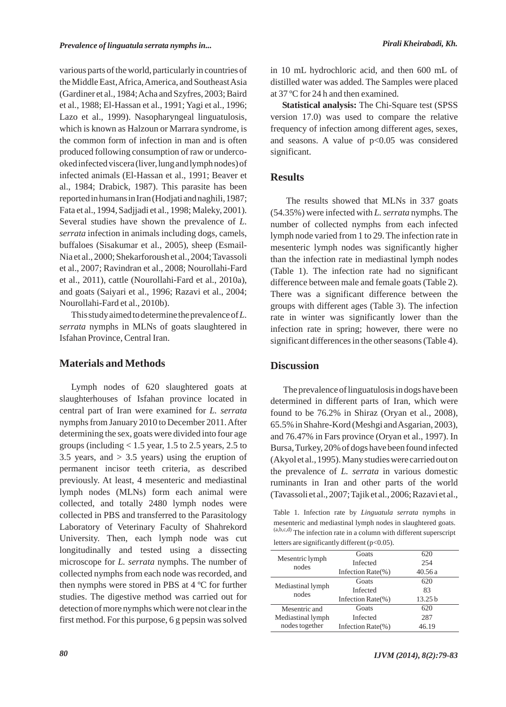various parts of the world, particularly in countries of the Middle East, Africa, America, and Southeast Asia (Gardiner et al., 1984; Acha and Szyfres, 2003; Baird et al., 1988; El-Hassan et al., 1991; Yagi et al., 1996; Lazo et al., 1999). Nasopharyngeal linguatulosis, which is known as Halzoun or Marrara syndrome, is the common form of infection in man and is often produced following consumption of raw or undercooked infected viscera (liver, lung and lymph nodes) of infected animals (El-Hassan et al., 1991; Beaver et al., 1984; Drabick, 1987). This parasite has been reported in humans in Iran (Hodjati and naghili, 1987; Fata et al., 1994, Sadjjadi et al., 1998; Maleky, 2001). Several studies have shown the prevalence of *L. serrata* infection in animals including dogs, camels, buffaloes (Sisakumar et al., 2005), sheep (Esmail-Nia et al., 2000; Shekarforoush et al., 2004; Tavassoli et al., 2007; Ravindran et al., 2008; Nourollahi-Fard et al., 2011), cattle (Nourollahi-Fard et al., 2010a), and goats (Saiyari et al., 1996; Razavi et al., 2004; Nourollahi-Fard et al., 2010b).

This study aimed to determine the prevalence of *L. serrata* nymphs in MLNs of goats slaughtered in Isfahan Province, Central Iran.

## **Materials and Methods**

Lymph nodes of 620 slaughtered goats at slaughterhouses of Isfahan province located in central part of Iran were examined for *L. serrata* nymphs from January 2010 to December 2011. After determining the sex, goats were divided into four age groups (including  $< 1.5$  year, 1.5 to 2.5 years, 2.5 to 3.5 years, and  $> 3.5$  years) using the eruption of permanent incisor teeth criteria, as described previously. At least, 4 mesenteric and mediastinal lymph nodes (MLNs) form each animal were collected, and totally 2480 lymph nodes were collected in PBS and transferred to the Parasitology Laboratory of Veterinary Faculty of Shahrekord University. Then, each lymph node was cut longitudinally and tested using a dissecting microscope for *L. serrata* nymphs. The number of collected nymphs from each node was recorded, and then nymphs were stored in PBS at 4 ºC for further studies. The digestive method was carried out for detection of more nymphs which were not clear in the first method. For this purpose, 6 g pepsin was solved in 10 mL hydrochloric acid, and then 600 mL of distilled water was added. The Samples were placed at 37 ºC for 24 h and then examined.

**Statistical analysis:** The Chi-Square test (SPSS version 17.0) was used to compare the relative frequency of infection among different ages, sexes, and seasons. A value of p<0.05 was considered significant.

## **Results**

The results showed that MLNs in 337 goats (54.35%) were infected with *L. serrata* nymphs. The number of collected nymphs from each infected lymph node varied from 1 to 29. The infection rate in mesenteric lymph nodes was significantly higher than the infection rate in mediastinal lymph nodes (Table 1). The infection rate had no significant difference between male and female goats (Table 2). There was a significant difference between the groups with different ages (Table 3). The infection rate in winter was significantly lower than the infection rate in spring; however, there were no significant differences in the other seasons (Table 4).

## **Discussion**

The prevalence of linguatulosis in dogs have been determined in different parts of Iran, which were found to be 76.2% in Shiraz (Oryan et al., 2008), 65.5% in Shahre-Kord (Meshgi and Asgarian, 2003), and 76.47% in Fars province (Oryan et al., 1997). In Bursa, Turkey, 20% of dogs have been found infected (Akyol et al., 1995). Many studies were carried out on the prevalence of *L. serrata* in various domestic ruminants in Iran and other parts of the world (Tavassoli et al., 2007; Tajik et al., 2006; Razavi et al.,

Table 1. Infection rate by *Linguatula serrata* nymphs in mesenteric and mediastinal lymph nodes in slaughtered goats.  $(a,b,c,d)$  The infection rate in a column with different superscript letters are significantly different (p<0.05).

| Mesentric lymph<br>nodes   | Goats                 | 620                |
|----------------------------|-----------------------|--------------------|
|                            | Infected              | 254                |
|                            | Infection Rate $(\%)$ | 40.56a             |
|                            | Goats                 | 620                |
| Mediastinal lymph<br>nodes | Infected              | 83                 |
|                            | Infection Rate $(\%)$ | 13.25 <sub>b</sub> |
| Mesentric and              | Goats                 | 620                |
| Mediastinal lymph          | Infected              | 287                |
| nodes together             | Infection Rate $(\%)$ | 46.19              |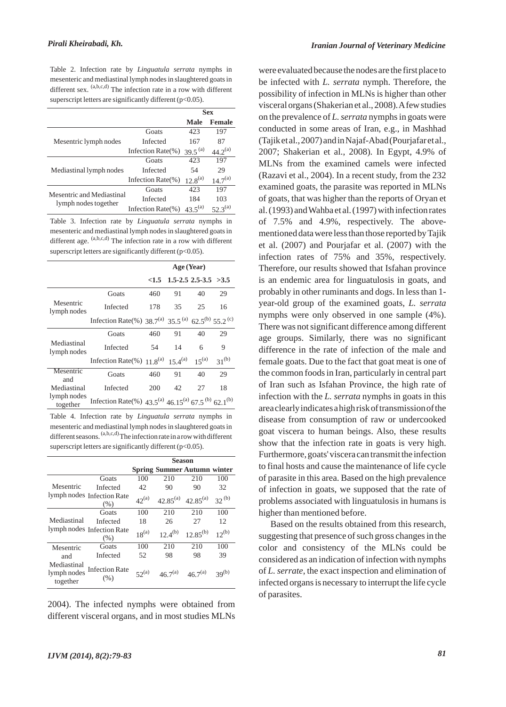Table 2. Infection rate by *Linguatula serrata* nymphs in mesenteric and mediastinal lymph nodes in slaughtered goats in different sex.  $(a,b,c,d)$  The infection rate in a row with different superscript letters are significantly different ( $p<0.05$ ).

|                                                   |                       | <b>Sex</b>          |               |
|---------------------------------------------------|-----------------------|---------------------|---------------|
|                                                   |                       | Male                | <b>Female</b> |
|                                                   | Goats                 | 423                 | 197           |
| Mesentric lymph nodes                             | Infected              | 167                 | 87            |
|                                                   | Infection Rate $(\%)$ | 39.5 <sup>(a)</sup> | $44.2^{(a)}$  |
|                                                   | Goats                 | 423                 | 197           |
| Mediastinal lymph nodes                           | Infected              | 54                  | 29            |
|                                                   | Infection Rate(%)     | $12.8^{(a)}$        | $14.7^{(a)}$  |
| Mesentric and Mediastinal<br>lymph nodes together | Goats                 | 423                 | 197           |
|                                                   | Infected              | 184                 | 103           |
|                                                   | Infection Rate(%)     | $43.5^{(a)}$        | 52.3(a)       |

Table 3. Infection rate by *Linguatula serrata* nymphs in mesenteric and mediastinal lymph nodes in slaughtered goats in different age.  $(a,b,c,d)$  The infection rate in a row with different superscript letters are significantly different (p<0.05).

|                                        |                                                                                                    | Age (Year) |                               |    |            |
|----------------------------------------|----------------------------------------------------------------------------------------------------|------------|-------------------------------|----|------------|
|                                        |                                                                                                    |            | $<1.5$ 1.5-2.5 2.5-3.5 $>3.5$ |    |            |
| Mesentric<br>lymph nodes               | Goats                                                                                              | 460        | 91                            | 40 | 29         |
|                                        | Infected                                                                                           | 178        | 35                            | 25 | 16         |
|                                        | Infection Rate(%) 38.7 <sup>(a)</sup> 35.5 <sup>(a)</sup> 62.5 <sup>(b)</sup> 55.2 <sup>(c)</sup>  |            |                               |    |            |
| Mediastinal<br>lymph nodes             | Goats                                                                                              | 460        | 91                            | 40 | 29         |
|                                        | Infected                                                                                           | 54         | 14                            | 6  | 9          |
|                                        | Infection Rate(%) $11.8^{(a)}$ 15.4 <sup>(a)</sup> 15 <sup>(a)</sup>                               |            |                               |    | $31^{(b)}$ |
| Mesentric<br>and                       | Goats                                                                                              | 460        | 91                            | 40 | 29         |
| Mediastinal<br>lymph nodes<br>together | Infected                                                                                           | 200        | 42                            | 27 | 18         |
|                                        | Infection Rate(%) 43.5 <sup>(a)</sup> 46.15 <sup>(a)</sup> 67.5 <sup>(b)</sup> 62.1 <sup>(b)</sup> |            |                               |    |            |

Table 4. Infection rate by *Linguatula serrata* nymphs in mesenteric and mediastinal lymph nodes in slaughtered goats in different seasons.  $(a,b,c,d)$  The infection rate in a row with different superscript letters are significantly different (p<0.05).

|                                        |                                       | Season     |                                    |               |            |
|----------------------------------------|---------------------------------------|------------|------------------------------------|---------------|------------|
|                                        |                                       |            | <b>Spring Summer Autumn winter</b> |               |            |
| Mesentric                              | Goats                                 | 100        | 210                                | 210           | 100        |
|                                        | Infected                              | 42         | 90                                 | 90            | 32         |
|                                        | lymph nodes Infection Rate<br>(% )    | $42^{(a)}$ | $42.85^{(a)}$                      | $42.85^{(a)}$ | $32^{(b)}$ |
| Mediastinal                            | Goats                                 | 100        | 210                                | 210           | 100        |
|                                        | Infected                              | 18         | 26                                 | 27            | 12         |
|                                        | lymph nodes Infection Rate<br>$(\% )$ | $18^{(a)}$ | $12.4^{(b)}$                       | $12.85^{(b)}$ | $12^{(b)}$ |
| Mesentric                              | Goats                                 | 100        | 210                                | 210           | 100        |
| and                                    | Infected                              | 52         | 98                                 | 98            | 39         |
| Mediastinal<br>lymph nodes<br>together | <b>Infection Rate</b><br>(% )         | $52^{(a)}$ | $46.7^{(a)}$                       | $46.7^{(a)}$  | $39^{(b)}$ |

2004). The infected nymphs were obtained from different visceral organs, and in most studies MLNs were evaluated because the nodes are the first place to be infected with *L. serrata* nymph. Therefore, the possibility of infection in MLNs is higher than other visceral organs (Shakerian et al., 2008). Afew studies on the prevalence of *L. serrata* nymphs in goats were conducted in some areas of Iran, e.g., in Mashhad (Tajik et al., 2007) and in Najaf-Abad (Pourjafar et al., 2007; Shakerian et al., 2008). In Egypt, 4.9% of MLNs from the examined camels were infected (Razavi et al., 2004). In a recent study, from the 232 examined goats, the parasite was reported in MLNs of goats, that was higher than the reports of Oryan et al. (1993) and Wahba et al. (1997) with infection rates of 7.5% and 4.9%, respectively. The abovementioned data were less than those reported by Tajik et al. (2007) and Pourjafar et al. (2007) with the infection rates of 75% and 35%, respectively. Therefore, our results showed that Isfahan province is an endemic area for linguatulosis in goats, and probably in other ruminants and dogs. In less than 1 year-old group of the examined goats, *L. serrata* nymphs were only observed in one sample (4%). There was not significant difference among different age groups. Similarly, there was no significant difference in the rate of infection of the male and female goats. Due to the fact that goat meat is one of the common foods in Iran, particularly in central part of Iran such as Isfahan Province, the high rate of infection with the *L. serrata* nymphs in goats in this area clearly indicates a high risk of transmission of the disease from consumption of raw or undercooked goat viscera to human beings. Also, these results show that the infection rate in goats is very high. Furthermore, goats' viscera can transmit the infection to final hosts and cause the maintenance of life cycle of parasite in this area. Based on the high prevalence of infection in goats, we supposed that the rate of problems associated with linguatulosis in humans is higher than mentioned before.

Based on the results obtained from this research, suggesting that presence of such gross changes in the color and consistency of the MLNs could be considered as an indication of infection with nymphs of *L. serrate*, the exact inspection and elimination of infected organs is necessary to interrupt the life cycle of parasites.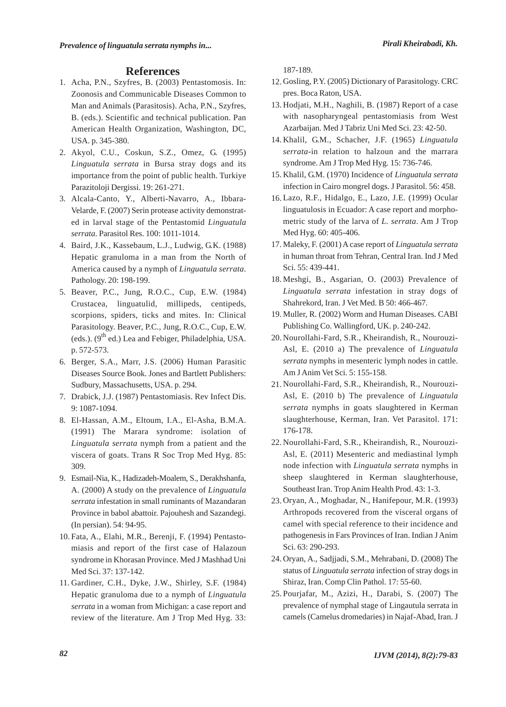## **References**

- 1. Acha, P.N., Szyfres, B. (2003) Pentastomosis. In: Zoonosis and Communicable Diseases Common to Man and Animals (Parasitosis). Acha, P.N., Szyfres, B. (eds.). Scientific and technical publication. Pan American Health Organization, Washington, DC, USA. p. 345-380.
- Akyol, C.U., Coskun, S.Z., Omez, G. (1995) 2. *Linguatula serrata* in Bursa stray dogs and its importance from the point of public health. Turkiye Parazitoloji Dergissi. 19: 261-271.
- Alcala-Canto, Y., Alberti-Navarro, A., Ibbara-3. Velarde, F. (2007) Serin protease activity demonstrated in larval stage of the Pentastomid *Linguatula serrata*. Parasitol Res. 100: 1011-1014.
- Baird, J.K., Kassebaum, L.J., Ludwig, G.K. (1988) 4. Hepatic granuloma in a man from the North of America caused by a nymph of *Linguatula serrata*. Pathology. 20: 198-199.
- Beaver, P.C., Jung, R.O.C., Cup, E.W. (1984) 5. Crustacea, linguatulid, millipeds, centipeds, scorpions, spiders, ticks and mites. In: Clinical Parasitology. Beaver, P.C., Jung, R.O.C., Cup, E.W. (eds.).  $(9^{th}$  ed.) Lea and Febiger, Philadelphia, USA. p. 572-573.
- Berger, S.A., Marr, J.S. (2006) Human Parasitic 6. Diseases Source Book. Jones and Bartlett Publishers: Sudbury, Massachusetts, USA. p. 294.
- 7. Drabick, J.J. (1987) Pentastomiasis. Rev Infect Dis. 9: 1087-1094.
- El-Hassan, A.M., Eltoum, I.A., El-Asha, B.M.A. 8. (1991) The Marara syndrome: isolation of *Linguatula serrata* nymph from a patient and the viscera of goats. Trans R Soc Trop Med Hyg. 85: 309.
- Esmail-Nia, K., Hadizadeh-Moalem, S., Derakhshanfa, 9. A. (2000) A study on the prevalence of *Linguatula serrata* infestation in small ruminants of Mazandaran Province in babol abattoir. Pajouhesh and Sazandegi. (In persian). 54: 94-95.
- 10. Fata, A., Elahi, M.R., Berenji, F. (1994) Pentastomiasis and report of the first case of Halazoun syndrome in Khorasan Province. Med J Mashhad Uni Med Sci. 37: 137-142.
- 11. Gardiner, C.H., Dyke, J.W., Shirley, S.F. (1984) Hepatic granuloma due to a nymph of *Linguatula serrata* in a woman from Michigan: a case report and review of the literature. Am J Trop Med Hyg. 33:

187-189.

- 12. Gosling, P.Y. (2005) Dictionary of Parasitology. CRC pres. Boca Raton, USA.
- 13. Hodjati, M.H., Naghili, B. (1987) Report of a case with nasopharyngeal pentastomiasis from West Azarbaijan. Med J Tabriz Uni Med Sci. 23: 42-50.
- Khalil, G.M., Schacher, J.F. (1965) *Linguatula* 14. *serrata*-in relation to halzoun and the marrara syndrome. Am J Trop Med Hyg. 15: 736-746.
- 15. Khalil, G.M. (1970) Incidence of *Linguatula serrata* infection in Cairo mongrel dogs. J Parasitol. 56: 458.
- Lazo, R.F., Hidalgo, E., Lazo, J.E. (1999) Ocular 16. linguatulosis in Ecuador: A case report and morphometric study of the larva of *L. serrata*. Am J Trop Med Hyg. 60: 405-406.
- Maleky, F. (2001) A case report of *Linguatula serrata* 17. in human throat from Tehran, Central Iran. Ind J Med Sci. 55: 439-441.
- 18. Meshgi, B., Asgarian, O. (2003) Prevalence of *Linguatula serrata* infestation in stray dogs of Shahrekord, Iran. J Vet Med. B 50: 466-467.
- Muller, R. (2002) Worm and Human Diseases. CABI 19. Publishing Co. Wallingford, UK. p. 240-242.
- 20. Nourollahi-Fard, S.R., Kheirandish, R., Nourouzi-Asl, E. (2010 a) The prevalence of *Linguatula serrata* nymphs in mesenteric lymph nodes in cattle. Am J Anim Vet Sci. 5: 155-158.
- Nourollahi-Fard, S.R., Kheirandish, R., Nourouzi-21. Asl, E. (2010 b) The prevalence of *Linguatula serrata* nymphs in goats slaughtered in Kerman slaughterhouse, Kerman, Iran. Vet Parasitol. 171: 176-178.
- 22. Nourollahi-Fard, S.R., Kheirandish, R., Nourouzi-Asl, E. (2011) Mesenteric and mediastinal lymph node infection with *Linguatula serrata* nymphs in sheep slaughtered in Kerman slaughterhouse, Southeast Iran. Trop Anim Health Prod. 43: 1-3.
- 23. Oryan, A., Moghadar, N., Hanifepour, M.R. (1993) Arthropods recovered from the visceral organs of camel with special reference to their incidence and pathogenesis in Fars Provinces of Iran. Indian J Anim Sci. 63: 290-293.
- 24. Oryan, A., Sadjjadi, S.M., Mehrabani, D. (2008) The status of *Linguatula serrata* infection of stray dogs in Shiraz, Iran. Comp Clin Pathol. 17: 55-60.
- 25. Pourjafar, M., Azizi, H., Darabi, S. (2007) The prevalence of nymphal stage of Lingautula serrata in camels (Camelus dromedaries) in Najaf-Abad, Iran. J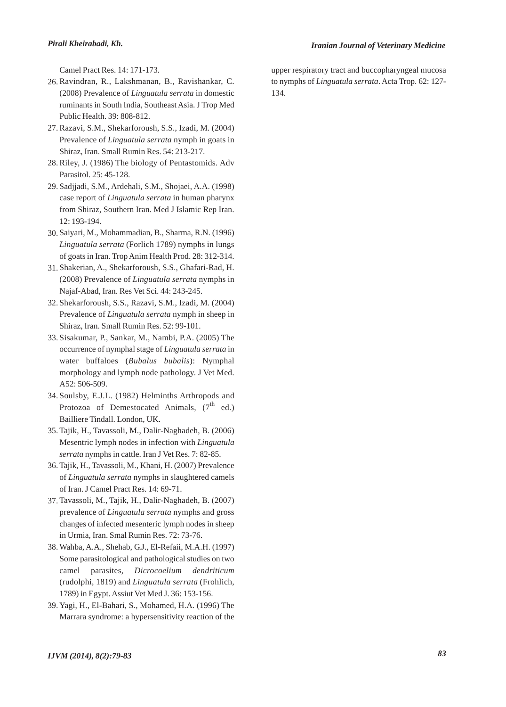Camel Pract Res. 14: 171-173.

- 26. Ravindran, R., Lakshmanan, B., Ravishankar, C. (2008) Prevalence of *Linguatula serrata* in domestic ruminants in South India, Southeast Asia. J Trop Med Public Health. 39: 808-812.
- 27. Razavi, S.M., Shekarforoush, S.S., Izadi, M. (2004) Prevalence of *Linguatula serrata* nymph in goats in Shiraz, Iran. Small Rumin Res. 54: 213-217.
- 28. Riley, J. (1986) The biology of Pentastomids. Adv Parasitol. 25: 45-128.
- 29. Sadjjadi, S.M., Ardehali, S.M., Shojaei, A.A. (1998) case report of *Linguatula serrata* in human pharynx from Shiraz, Southern Iran. Med J Islamic Rep Iran. 12: 193-194.
- Saiyari, M., Mohammadian, B., Sharma, R.N. (1996) 30. *Linguatula serrata* (Forlich 1789) nymphs in lungs of goats in Iran. Trop Anim Health Prod. 28: 312-314.
- Shakerian, A., Shekarforoush, S.S., Ghafari-Rad, H. 31. (2008) Prevalence of *Linguatula serrata* nymphs in Najaf-Abad, Iran. Res Vet Sci. 44: 243-245.
- Shekarforoush, S.S., Razavi, S.M., Izadi, M. (2004) 32. Prevalence of *Linguatula serrata* nymph in sheep in Shiraz, Iran. Small Rumin Res. 52: 99-101.
- Sisakumar, P., Sankar, M., Nambi, P.A. (2005) The 33. occurrence of nymphal stage of *Linguatula serrata* in water buffaloes (*Bubalus bubalis*): Nymphal morphology and lymph node pathology. J Vet Med. A52: 506-509.
- 34. Soulsby, E.J.L. (1982) Helminths Arthropods and Protozoa of Demestocated Animals,  $(7^{th}$  ed.) Bailliere Tindall. London, UK.
- 35. Tajik, H., Tavassoli, M., Dalir-Naghadeh, B. (2006) Mesentric lymph nodes in infection with *Linguatula serrata* nymphs in cattle. Iran J Vet Res. 7: 82-85.
- 36. Tajik, H., Tavassoli, M., Khani, H. (2007) Prevalence of *Linguatula serrata* nymphs in slaughtered camels of Iran. J Camel Pract Res. 14: 69-71.
- 37. Tavassoli, M., Tajik, H., Dalir-Naghadeh, B. (2007) prevalence of *Linguatula serrata* nymphs and gross changes of infected mesenteric lymph nodes in sheep in Urmia, Iran. Smal Rumin Res. 72: 73-76.
- Wahba, A.A., Shehab, G.J., El-Refaii, M.A.H. (1997) 38. Some parasitological and pathological studies on two camel parasites, *Dicrocoelium dendriticum* (rudolphi, 1819) and *Linguatula serrata* (Frohlich, 1789) in Egypt. Assiut Vet Med J. 36: 153-156.
- 39. Yagi, H., El-Bahari, S., Mohamed, H.A. (1996) The Marrara syndrome: a hypersensitivity reaction of the

upper respiratory tract and buccopharyngeal mucosa to nymphs of *Linguatula serrata*. Acta Trop. 62: 127- 134.